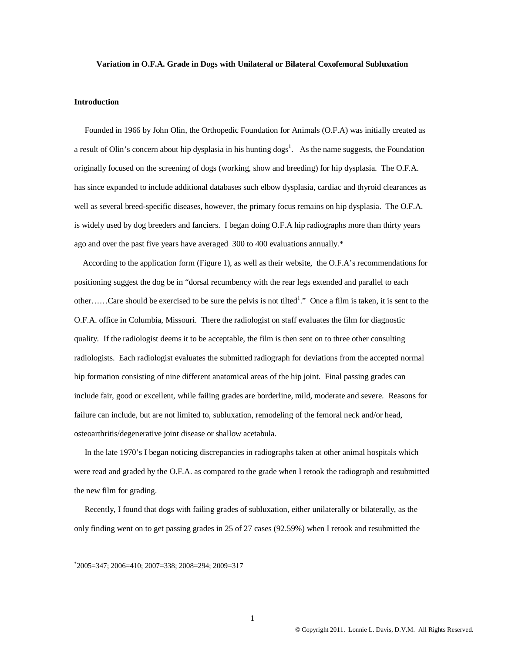#### **Variation in O.F.A. Grade in Dogs with Unilateral or Bilateral Coxofemoral Subluxation**

#### **Introduction**

 Founded in 1966 by John Olin, the Orthopedic Foundation for Animals (O.F.A) was initially created as a result of Olin's concern about hip dysplasia in his hunting  $\log s^1$ . As the name suggests, the Foundation originally focused on the screening of dogs (working, show and breeding) for hip dysplasia. The O.F.A. has since expanded to include additional databases such elbow dysplasia, cardiac and thyroid clearances as well as several breed-specific diseases, however, the primary focus remains on hip dysplasia. The O.F.A. is widely used by dog breeders and fanciers. I began doing O.F.A hip radiographs more than thirty years ago and over the past five years have averaged 300 to 400 evaluations annually.\*

 According to the application form (Figure 1), as well as their website, the O.F.A's recommendations for positioning suggest the dog be in "dorsal recumbency with the rear legs extended and parallel to each other......Care should be exercised to be sure the pelvis is not tilted<sup>1</sup>." Once a film is taken, it is sent to the O.F.A. office in Columbia, Missouri. There the radiologist on staff evaluates the film for diagnostic quality. If the radiologist deems it to be acceptable, the film is then sent on to three other consulting radiologists. Each radiologist evaluates the submitted radiograph for deviations from the accepted normal hip formation consisting of nine different anatomical areas of the hip joint. Final passing grades can include fair, good or excellent, while failing grades are borderline, mild, moderate and severe. Reasons for failure can include, but are not limited to, subluxation, remodeling of the femoral neck and/or head, osteoarthritis/degenerative joint disease or shallow acetabula.

 In the late 1970's I began noticing discrepancies in radiographs taken at other animal hospitals which were read and graded by the O.F.A. as compared to the grade when I retook the radiograph and resubmitted the new film for grading.

 Recently, I found that dogs with failing grades of subluxation, either unilaterally or bilaterally, as the only finding went on to get passing grades in 25 of 27 cases (92.59%) when I retook and resubmitted the

\* 2005=347; 2006=410; 2007=338; 2008=294; 2009=317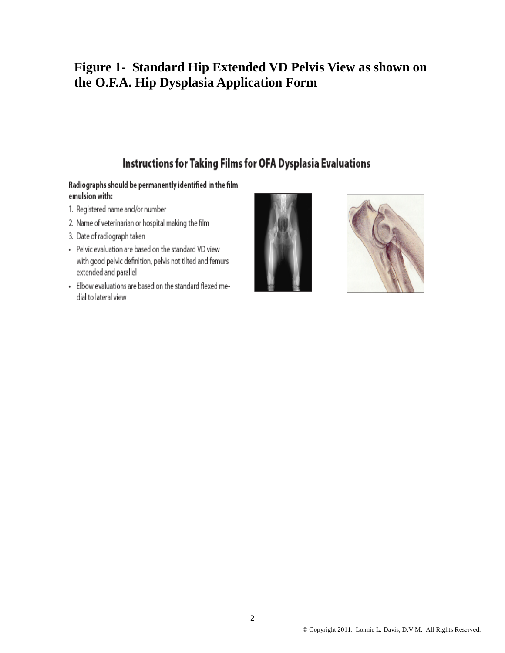# **Figure 1- Standard Hip Extended VD Pelvis View as shown on the O.F.A. Hip Dysplasia Application Form**

## Instructions for Taking Films for OFA Dysplasia Evaluations

### Radiographs should be permanently identified in the film emulsion with:

- 1. Registered name and/or number
- 2. Name of veterinarian or hospital making the film
- 3. Date of radiograph taken
- Pelvic evaluation are based on the standard VD view with good pelvic definition, pelvis not tilted and femurs extended and parallel
- · Elbow evaluations are based on the standard flexed medial to lateral view



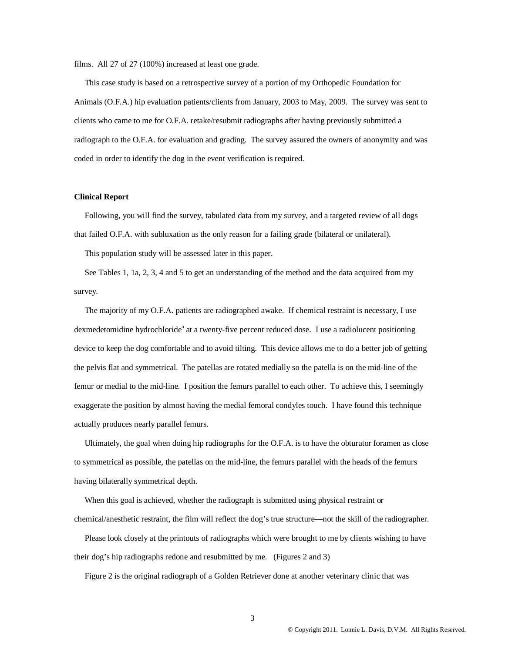films. All 27 of 27 (100%) increased at least one grade.

 This case study is based on a retrospective survey of a portion of my Orthopedic Foundation for Animals (O.F.A.) hip evaluation patients/clients from January, 2003 to May, 2009. The survey was sent to clients who came to me for O.F.A. retake/resubmit radiographs after having previously submitted a radiograph to the O.F.A. for evaluation and grading. The survey assured the owners of anonymity and was coded in order to identify the dog in the event verification is required.

#### **Clinical Report**

Following, you will find the survey, tabulated data from my survey, and a targeted review of all dogs that failed O.F.A. with subluxation as the only reason for a failing grade (bilateral or unilateral).

This population study will be assessed later in this paper.

 See Tables 1, 1a, 2, 3, 4 and 5 to get an understanding of the method and the data acquired from my survey.

 The majority of my O.F.A. patients are radiographed awake. If chemical restraint is necessary, I use dexmedetomidine hydrochloride<sup>a</sup> at a twenty-five percent reduced dose. I use a radiolucent positioning device to keep the dog comfortable and to avoid tilting. This device allows me to do a better job of getting the pelvis flat and symmetrical. The patellas are rotated medially so the patella is on the mid-line of the femur or medial to the mid-line. I position the femurs parallel to each other. To achieve this, I seemingly exaggerate the position by almost having the medial femoral condyles touch. I have found this technique actually produces nearly parallel femurs.

 Ultimately, the goal when doing hip radiographs for the O.F.A. is to have the obturator foramen as close to symmetrical as possible, the patellas on the mid-line, the femurs parallel with the heads of the femurs having bilaterally symmetrical depth.

 When this goal is achieved, whether the radiograph is submitted using physical restraint or chemical/anesthetic restraint, the film will reflect the dog's true structure—not the skill of the radiographer.

 Please look closely at the printouts of radiographs which were brought to me by clients wishing to have their dog's hip radiographs redone and resubmitted by me. (Figures 2 and 3)

Figure 2 is the original radiograph of a Golden Retriever done at another veterinary clinic that was

3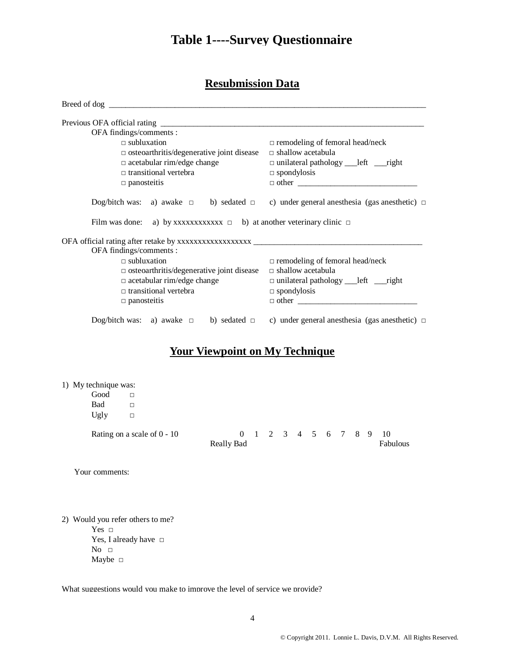# **Table 1----Survey Questionnaire**

## **Resubmission Data**

| OFA findings/comments :<br>$\Box$ subluxation                                                        | $\Box$ remodeling of femoral head/neck         |  |  |
|------------------------------------------------------------------------------------------------------|------------------------------------------------|--|--|
| $\Box$ osteoarthritis/degenerative joint disease                                                     | $\Box$ shallow acetabula                       |  |  |
| $\Box$ acetabular rim/edge change                                                                    | $\Box$ unilateral pathology ___ left ___ right |  |  |
| $\Box$ transitional vertebra                                                                         | $\Box$ spondylosis                             |  |  |
| $\Box$ panosteitis                                                                                   |                                                |  |  |
|                                                                                                      |                                                |  |  |
| Dog/bitch was: a) awake $\Box$ b) sedated $\Box$ c) under general anesthesia (gas anesthetic) $\Box$ |                                                |  |  |
| Film was done: a) by xxxxxxxxxxx $\Box$ b) at another veterinary clinic $\Box$                       |                                                |  |  |
|                                                                                                      |                                                |  |  |
| OFA findings/comments :                                                                              |                                                |  |  |
| $\Box$ subluxation                                                                                   | $\Box$ remodeling of femoral head/neck         |  |  |
| $\Box$ osteoarthritis/degenerative joint disease                                                     | $\Box$ shallow acetabula                       |  |  |
| $\Box$ acetabular rim/edge change                                                                    | $\Box$ unilateral pathology ___ left ___ right |  |  |
| $\Box$ transitional vertebra                                                                         | $\Box$ spondylosis                             |  |  |

## **Your Viewpoint on My Technique**

#### 1) My technique was:

| Good<br>Bad<br>Ugly | □<br>$\Box$<br>$\Box$         |                   |                     |  |  |  |                  |
|---------------------|-------------------------------|-------------------|---------------------|--|--|--|------------------|
|                     | Rating on a scale of $0 - 10$ | <b>Really Bad</b> | 0 1 2 3 4 5 6 7 8 9 |  |  |  | - 10<br>Fabulous |
| Your comments:      |                               |                   |                     |  |  |  |                  |

2) Would you refer others to me?

Yes □ Yes, I already have □  $No$   $\Box$ Maybe □

What suggestions would you make to improve the level of service we provide?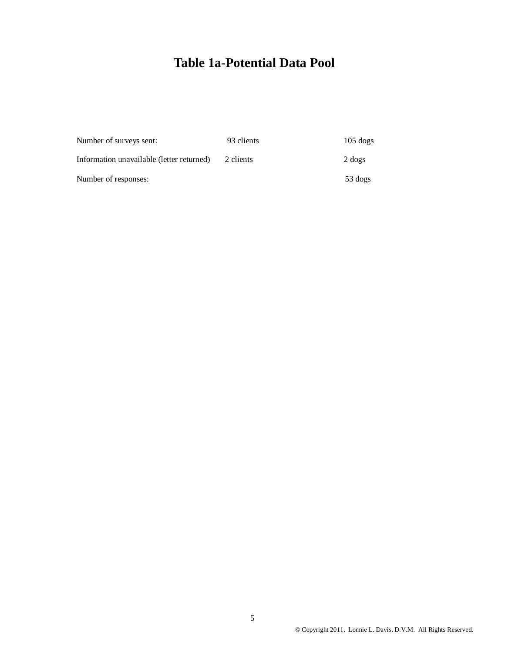# **Table 1a-Potential Data Pool**

| Number of surveys sent:                   | 93 clients | $105$ dogs |
|-------------------------------------------|------------|------------|
| Information unavailable (letter returned) | 2 clients  | 2 dogs     |
| Number of responses:                      |            | 53 dogs    |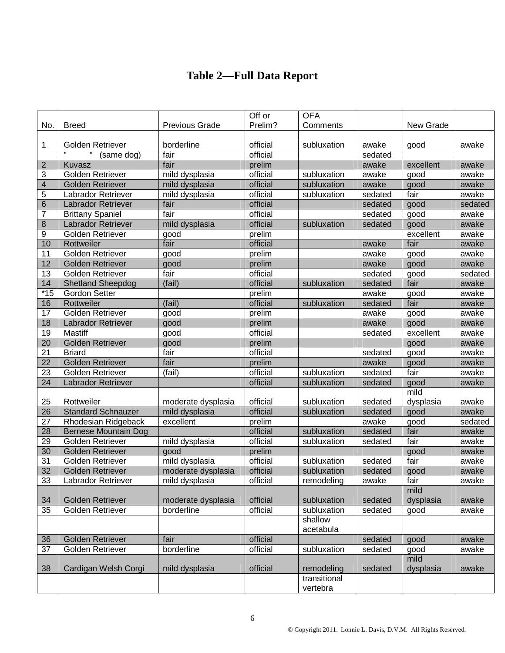# **Table 2—Full Data Report**

|                         |                             |                       | Off or<br>Prelim? | <b>OFA</b><br>Comments |         |           |         |
|-------------------------|-----------------------------|-----------------------|-------------------|------------------------|---------|-----------|---------|
| No.                     | <b>Breed</b>                | <b>Previous Grade</b> |                   |                        |         | New Grade |         |
| 1                       | Golden Retriever            | borderline            | official          | subluxation            | awake   | good      | awake   |
|                         | (same dog)                  | fair                  | official          |                        | sedated |           |         |
| $\overline{2}$          | Kuvasz                      | fair                  | prelim            |                        | awake   | excellent | awake   |
| 3                       | Golden Retriever            | mild dysplasia        | official          | subluxation            | awake   | good      | awake   |
| $\overline{\mathbf{4}}$ | <b>Golden Retriever</b>     | mild dysplasia        | official          | subluxation            | awake   | good      | awake   |
| 5                       | Labrador Retriever          | mild dysplasia        | official          | subluxation            | sedated | fair      | awake   |
| $6\phantom{1}6$         | Labrador Retriever          | fair                  | official          |                        | sedated | good      | sedated |
| 7                       | <b>Brittany Spaniel</b>     | fair                  | official          |                        | sedated | good      | awake   |
| 8                       | Labrador Retriever          | mild dysplasia        | official          | subluxation            | sedated | good      | awake   |
| 9                       | Golden Retriever            | good                  | prelim            |                        |         | excellent | awake   |
| 10                      | Rottweiler                  | fair                  | official          |                        | awake   | fair      | awake   |
| 11                      | Golden Retriever            | good                  | prelim            |                        | awake   | good      | awake   |
| $\overline{12}$         | <b>Golden Retriever</b>     | good                  | prelim            |                        | awake   | good      | awake   |
| 13                      | Golden Retriever            | fair                  | official          |                        | sedated | good      | sedated |
| 14                      | <b>Shetland Sheepdog</b>    | (fail)                | official          | subluxation            | sedated | fair      | awake   |
| $*15$                   | <b>Gordon Setter</b>        |                       | prelim            |                        | awake   | good      | awake   |
| 16                      | Rottweiler                  | (fail)                | official          | subluxation            | sedated | fair      | awake   |
| 17                      | Golden Retriever            | good                  | prelim            |                        | awake   | good      | awake   |
| 18                      | Labrador Retriever          | good                  | prelim            |                        | awake   | good      | awake   |
| 19                      | <b>Mastiff</b>              | good                  | official          |                        | sedated | excellent | awake   |
| 20                      | <b>Golden Retriever</b>     | good                  | prelim            |                        |         | good      | awake   |
| $\overline{21}$         | <b>Briard</b>               | fair                  | official          |                        | sedated | good      | awake   |
| 22                      | <b>Golden Retriever</b>     | fair                  | prelim            |                        | awake   | good      | awake   |
| 23                      | Golden Retriever            | (fail)                | official          | subluxation            | sedated | fair      | awake   |
| 24                      | Labrador Retriever          |                       | official          | subluxation            | sedated | good      | awake   |
|                         |                             |                       |                   |                        |         | mild      |         |
| 25                      | Rottweiler                  | moderate dysplasia    | official          | subluxation            | sedated | dysplasia | awake   |
| 26                      | <b>Standard Schnauzer</b>   | mild dysplasia        | official          | subluxation            | sedated | good      | awake   |
| 27                      | Rhodesian Ridgeback         | excellent             | prelim            |                        | awake   | good      | sedated |
| 28                      | <b>Bernese Mountain Dog</b> |                       | official          | subluxation            | sedated | fair      | awake   |
| 29                      | Golden Retriever            | mild dysplasia        | official          | subluxation            | sedated | fair      | awake   |
| 30                      | <b>Golden Retriever</b>     | good                  | prelim            |                        |         | good      | awake   |
| 31                      | Golden Retriever            | mild dysplasia        | official          | subluxation            | sedated | fair      | awake   |
| $\overline{32}$         | <b>Golden Retriever</b>     | moderate dysplasia    | official          | subluxation            | sedated | good      | awake   |
| 33                      | Labrador Retriever          | mild dysplasia        | official          | remodeling             | awake   | fair      | awake   |
|                         | <b>Golden Retriever</b>     |                       |                   |                        | sedated | mild      |         |
| 34                      |                             | moderate dysplasia    | official          | subluxation            |         | dysplasia | awake   |
| 35                      | Golden Retriever            | borderline            | official          | subluxation<br>shallow | sedated | good      | awake   |
|                         |                             |                       |                   | acetabula              |         |           |         |
| 36                      | Golden Retriever            | fair                  | official          |                        | sedated | good      | awake   |
| 37                      | Golden Retriever            | borderline            | official          | subluxation            | sedated | good      | awake   |
|                         |                             |                       |                   |                        |         | mild      |         |
| 38                      | Cardigan Welsh Corgi        | mild dysplasia        | official          | remodeling             | sedated | dysplasia | awake   |
|                         |                             |                       |                   | transitional           |         |           |         |
|                         |                             |                       |                   | vertebra               |         |           |         |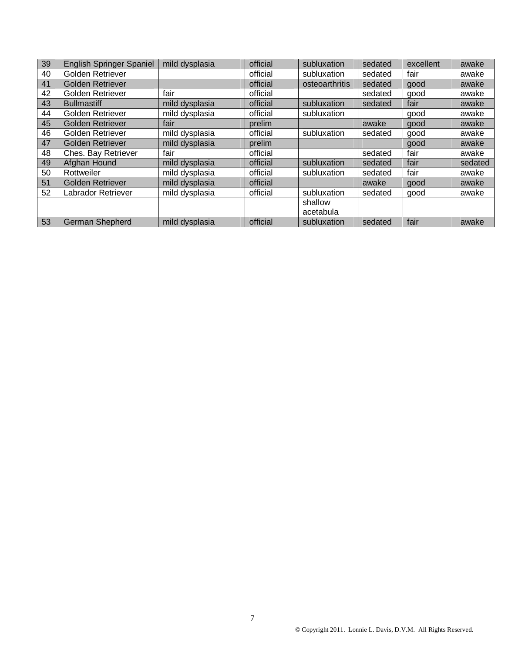| 39 | <b>English Springer Spaniel</b> | mild dysplasia | official | subluxation    | sedated | excellent | awake   |
|----|---------------------------------|----------------|----------|----------------|---------|-----------|---------|
| 40 | Golden Retriever                |                | official | subluxation    | sedated | fair      | awake   |
| 41 | <b>Golden Retriever</b>         |                | official | osteoarthritis | sedated | good      | awake   |
| 42 | Golden Retriever                | fair           | official |                | sedated | good      | awake   |
| 43 | <b>Bullmastiff</b>              | mild dysplasia | official | subluxation    | sedated | fair      | awake   |
| 44 | Golden Retriever                | mild dysplasia | official | subluxation    |         | good      | awake   |
| 45 | <b>Golden Retriever</b>         | fair           | prelim   |                | awake   | good      | awake   |
| 46 | Golden Retriever                | mild dysplasia | official | subluxation    | sedated | good      | awake   |
| 47 | <b>Golden Retriever</b>         | mild dysplasia | prelim   |                |         | good      | awake   |
| 48 | Ches. Bay Retriever             | fair           | official |                | sedated | fair      | awake   |
| 49 | Afghan Hound                    | mild dysplasia | official | subluxation    | sedated | fair      | sedated |
| 50 | Rottweiler                      | mild dysplasia | official | subluxation    | sedated | fair      | awake   |
| 51 | <b>Golden Retriever</b>         | mild dysplasia | official |                | awake   | good      | awake   |
| 52 | Labrador Retriever              | mild dysplasia | official | subluxation    | sedated | good      | awake   |
|    |                                 |                |          | shallow        |         |           |         |
|    |                                 |                |          | acetabula      |         |           |         |
| 53 | German Shepherd                 | mild dysplasia | official | subluxation    | sedated | fair      | awake   |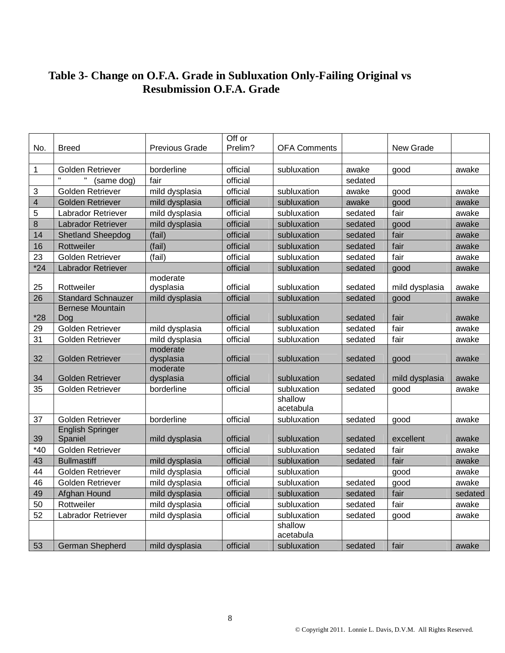### **Table 3- Change on O.F.A. Grade in Subluxation Only-Failing Original vs Resubmission O.F.A. Grade**

| No.            | <b>Breed</b>                       | <b>Previous Grade</b> | Off or<br>Prelim? | <b>OFA Comments</b>  |         | New Grade      |         |
|----------------|------------------------------------|-----------------------|-------------------|----------------------|---------|----------------|---------|
|                |                                    |                       |                   |                      |         |                |         |
| $\mathbf{1}$   | Golden Retriever                   | borderline            | official          | subluxation          | awake   | good           | awake   |
|                | (same dog)                         | fair                  | official          |                      | sedated |                |         |
| 3              | Golden Retriever                   | mild dysplasia        | official          | subluxation          | awake   | good           | awake   |
| $\overline{4}$ | <b>Golden Retriever</b>            | mild dysplasia        | official          | subluxation          | awake   | good           | awake   |
| 5              | Labrador Retriever                 | mild dysplasia        | official          | subluxation          | sedated | fair           | awake   |
| 8              | Labrador Retriever                 | mild dysplasia        | official          | subluxation          | sedated | good           | awake   |
| 14             | <b>Shetland Sheepdog</b>           | (fail)                | official          | subluxation          | sedated | fair           | awake   |
| 16             | Rottweiler                         | (fail)                | official          | subluxation          | sedated | fair           | awake   |
| 23             | Golden Retriever                   | (fail)                | official          | subluxation          | sedated | fair           | awake   |
| $*24$          | Labrador Retriever                 |                       | official          | subluxation          | sedated | good           | awake   |
| 25             | Rottweiler                         | moderate<br>dysplasia | official          | subluxation          | sedated | mild dysplasia | awake   |
| 26             | <b>Standard Schnauzer</b>          | mild dysplasia        | official          | subluxation          | sedated | good           | awake   |
|                | <b>Bernese Mountain</b>            |                       |                   |                      |         |                |         |
| $*28$          | Dog                                |                       | official          | subluxation          | sedated | fair           | awake   |
| 29             | Golden Retriever                   | mild dysplasia        | official          | subluxation          | sedated | fair           | awake   |
| 31             | Golden Retriever                   | mild dysplasia        | official          | subluxation          | sedated | fair           | awake   |
| 32             | <b>Golden Retriever</b>            | moderate<br>dysplasia | official          | subluxation          | sedated | good           | awake   |
|                |                                    | moderate              |                   |                      |         |                |         |
| 34             | <b>Golden Retriever</b>            | dysplasia             | official          | subluxation          | sedated | mild dysplasia | awake   |
| 35             | Golden Retriever                   | borderline            | official          | subluxation          | sedated | good           | awake   |
|                |                                    |                       |                   | shallow              |         |                |         |
|                |                                    |                       |                   | acetabula            |         |                |         |
| 37             | Golden Retriever                   | borderline            | official          | subluxation          | sedated | good           | awake   |
| 39             | <b>English Springer</b><br>Spaniel | mild dysplasia        | official          | subluxation          | sedated | excellent      | awake   |
| $*40$          | Golden Retriever                   |                       | official          | subluxation          | sedated | fair           | awake   |
| 43             | <b>Bullmastiff</b>                 | mild dysplasia        | official          | subluxation          | sedated | fair           | awake   |
| 44             | Golden Retriever                   | mild dysplasia        | official          | subluxation          |         | good           | awake   |
| 46             | Golden Retriever                   | mild dysplasia        | official          | subluxation          | sedated | good           | awake   |
| 49             | Afghan Hound                       | mild dysplasia        | official          | subluxation          | sedated | fair           | sedated |
| 50             | Rottweiler                         | mild dysplasia        | official          | subluxation          | sedated | fair           | awake   |
| 52             | Labrador Retriever                 | mild dysplasia        | official          | subluxation          | sedated | good           | awake   |
|                |                                    |                       |                   | shallow<br>acetabula |         |                |         |
| 53             | German Shepherd                    | mild dysplasia        | official          | subluxation          | sedated | fair           | awake   |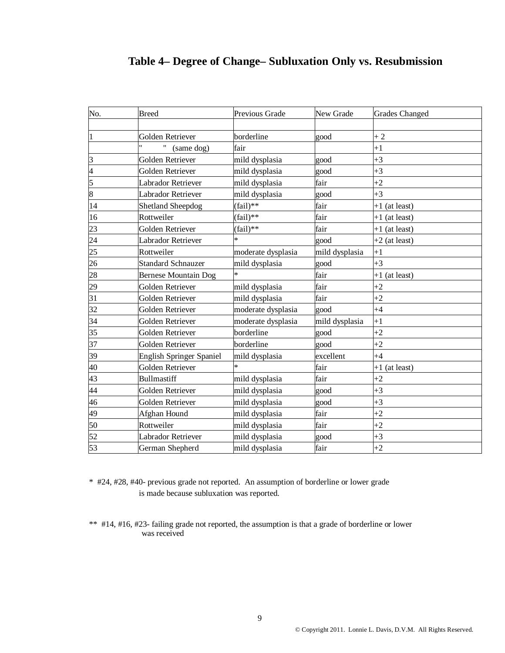| No.                      | <b>Breed</b>                    | Previous Grade     | New Grade      | <b>Grades Changed</b> |
|--------------------------|---------------------------------|--------------------|----------------|-----------------------|
|                          |                                 |                    |                |                       |
| $\mathbf{1}$             | Golden Retriever                | borderline         | good           | $+2$                  |
|                          | (same dog)                      | fair               |                | $+1$                  |
| 3                        | <b>Golden Retriever</b>         | mild dysplasia     | good           | $+3$                  |
| $\overline{\mathcal{A}}$ | Golden Retriever                | mild dysplasia     | good           | $+3$                  |
| 5                        | Labrador Retriever              | mild dysplasia     | fair           | $+2$                  |
| 8                        | Labrador Retriever              | mild dysplasia     | good           | $+3$                  |
| 14                       | <b>Shetland Sheepdog</b>        | $(fail)**$         | fair           | $+1$ (at least)       |
| 16                       | Rottweiler                      | $(fail)**$         | fair           | $+1$ (at least)       |
| 23                       | Golden Retriever                | $(fail)**$         | fair           | $+1$ (at least)       |
| 24                       | Labrador Retriever              | ¥                  | good           | $+2$ (at least)       |
| 25                       | Rottweiler                      | moderate dysplasia | mild dysplasia | $+1$                  |
| 26                       | <b>Standard Schnauzer</b>       | mild dysplasia     | good           | $+3$                  |
| 28                       | <b>Bernese Mountain Dog</b>     | $\ast$             | fair           | $+1$ (at least)       |
| 29                       | Golden Retriever                | mild dysplasia     | fair           | $+2$                  |
| 31                       | Golden Retriever                | mild dysplasia     | fair           | $+2$                  |
| 32                       | Golden Retriever                | moderate dysplasia | good           | $+4$                  |
| 34                       | Golden Retriever                | moderate dysplasia | mild dysplasia | $+1$                  |
| 35                       | Golden Retriever                | borderline         | good           | $+2$                  |
| 37                       | Golden Retriever                | borderline         | good           | $+2$                  |
| 39                       | <b>English Springer Spaniel</b> | mild dysplasia     | excellent      | $+4$                  |
| 40                       | Golden Retriever                | $\ast$             | fair           | $+1$ (at least)       |
| 43                       | <b>Bullmastiff</b>              | mild dysplasia     | fair           | $+2$                  |
| 44                       | Golden Retriever                | mild dysplasia     | good           | $+3$                  |
| 46                       | Golden Retriever                | mild dysplasia     | good           | $+3$                  |
| 49                       | Afghan Hound                    | mild dysplasia     | fair           | $+2$                  |
| 50                       | Rottweiler                      | mild dysplasia     | fair           | $+2$                  |
| 52                       | Labrador Retriever              | mild dysplasia     | good           | $+3$                  |
| 53                       | German Shepherd                 | mild dysplasia     | fair           | $+2$                  |

## **Table 4– Degree of Change– Subluxation Only vs. Resubmission**

\* #24, #28, #40- previous grade not reported. An assumption of borderline or lower grade is made because subluxation was reported.

\*\* #14, #16, #23- failing grade not reported, the assumption is that a grade of borderline or lower was received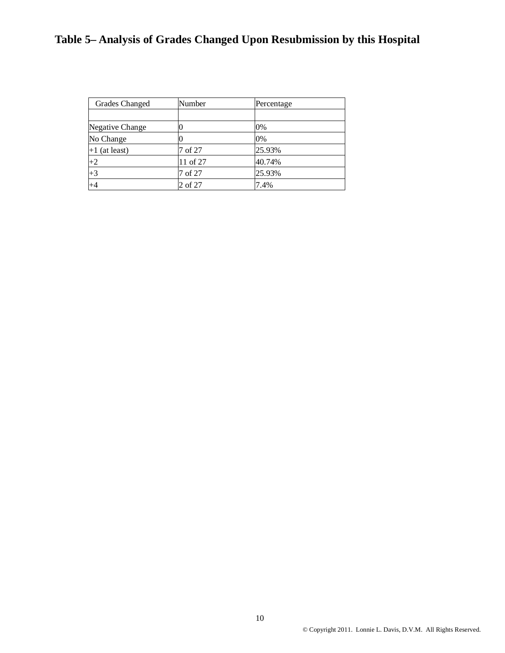# **Table 5– Analysis of Grades Changed Upon Resubmission by this Hospital**

| <b>Grades Changed</b> | Number   | Percentage |
|-----------------------|----------|------------|
|                       |          |            |
| Negative Change       |          | 0%         |
| No Change             |          | 0%         |
| $+1$ (at least)       | 7 of 27  | 25.93%     |
| $+2$                  | 11 of 27 | 40.74%     |
| $+3$                  | 7 of 27  | 25.93%     |
| $+4$                  | 2 of 27  | 7.4%       |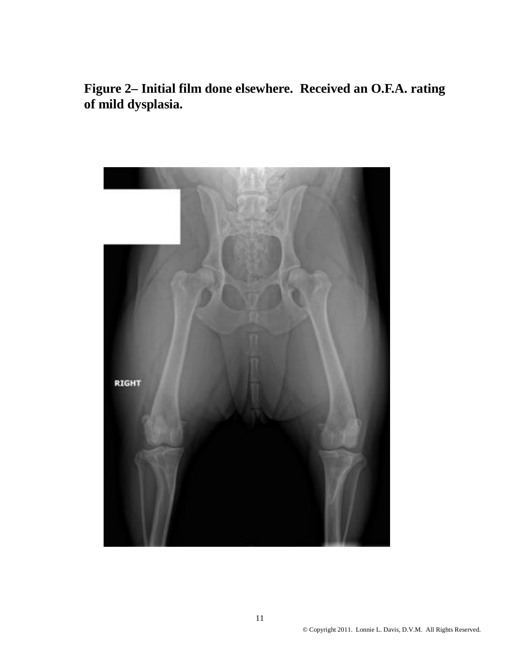**Figure 2– Initial film done elsewhere. Received an O.F.A. rating of mild dysplasia.** 

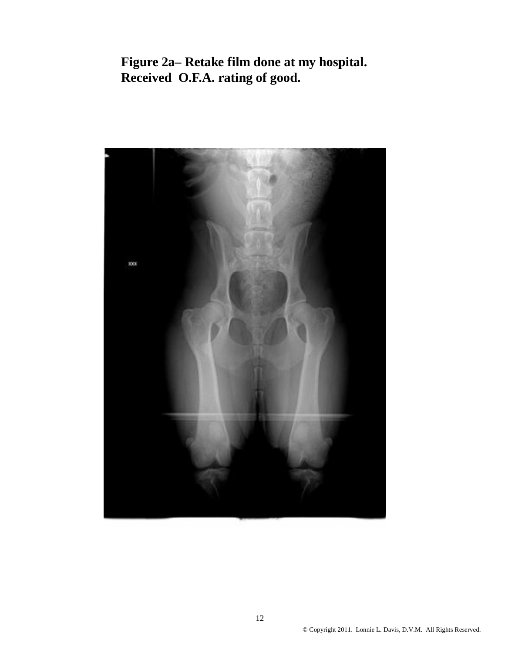**Figure 2a– Retake film done at my hospital. Received O.F.A. rating of good.**

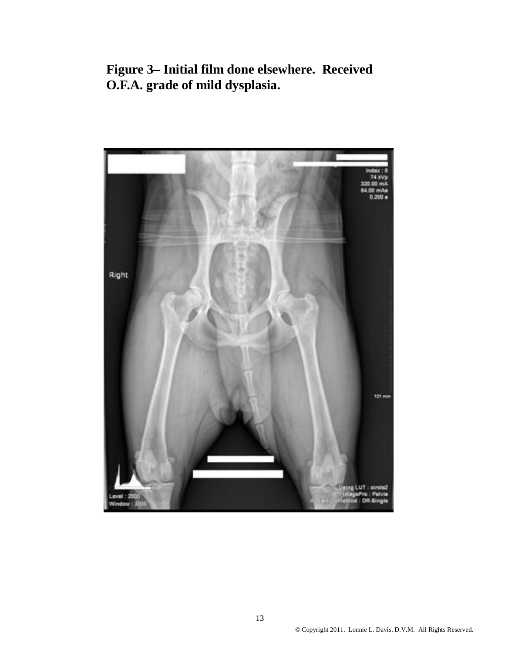**Figure 3– Initial film done elsewhere. Received O.F.A. grade of mild dysplasia.**

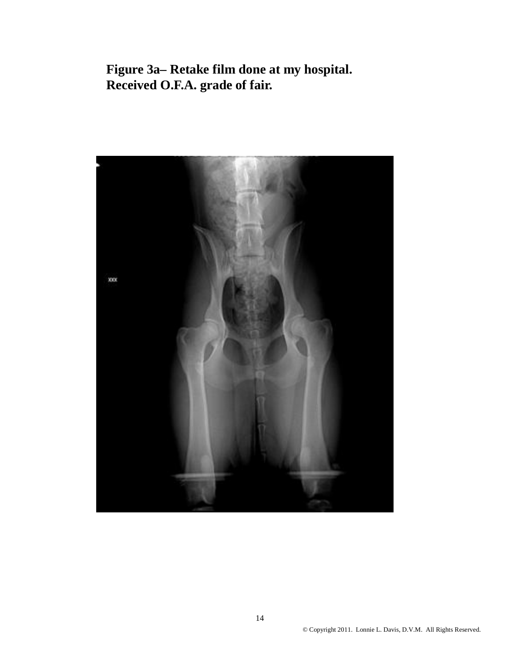**Figure 3a– Retake film done at my hospital. Received O.F.A. grade of fair.**

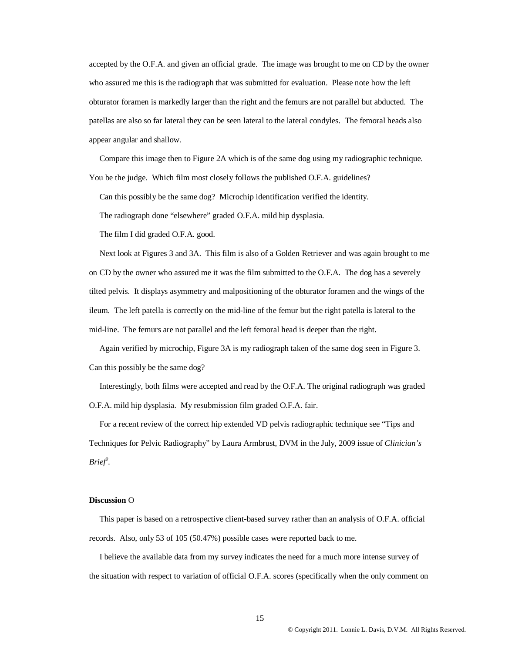accepted by the O.F.A. and given an official grade. The image was brought to me on CD by the owner who assured me this is the radiograph that was submitted for evaluation. Please note how the left obturator foramen is markedly larger than the right and the femurs are not parallel but abducted. The patellas are also so far lateral they can be seen lateral to the lateral condyles. The femoral heads also appear angular and shallow.

 Compare this image then to Figure 2A which is of the same dog using my radiographic technique. You be the judge. Which film most closely follows the published O.F.A. guidelines?

Can this possibly be the same dog? Microchip identification verified the identity.

The radiograph done "elsewhere" graded O.F.A. mild hip dysplasia.

The film I did graded O.F.A. good.

 Next look at Figures 3 and 3A. This film is also of a Golden Retriever and was again brought to me on CD by the owner who assured me it was the film submitted to the O.F.A. The dog has a severely tilted pelvis. It displays asymmetry and malpositioning of the obturator foramen and the wings of the ileum. The left patella is correctly on the mid-line of the femur but the right patella is lateral to the mid-line. The femurs are not parallel and the left femoral head is deeper than the right.

 Again verified by microchip, Figure 3A is my radiograph taken of the same dog seen in Figure 3. Can this possibly be the same dog?

 Interestingly, both films were accepted and read by the O.F.A. The original radiograph was graded O.F.A. mild hip dysplasia. My resubmission film graded O.F.A. fair.

 For a recent review of the correct hip extended VD pelvis radiographic technique see "Tips and Techniques for Pelvic Radiography" by Laura Armbrust, DVM in the July, 2009 issue of *Clinician's Brief<sup>2</sup> .*

#### **Discussion** O

 This paper is based on a retrospective client-based survey rather than an analysis of O.F.A. official records. Also, only 53 of 105 (50.47%) possible cases were reported back to me.

 I believe the available data from my survey indicates the need for a much more intense survey of the situation with respect to variation of official O.F.A. scores (specifically when the only comment on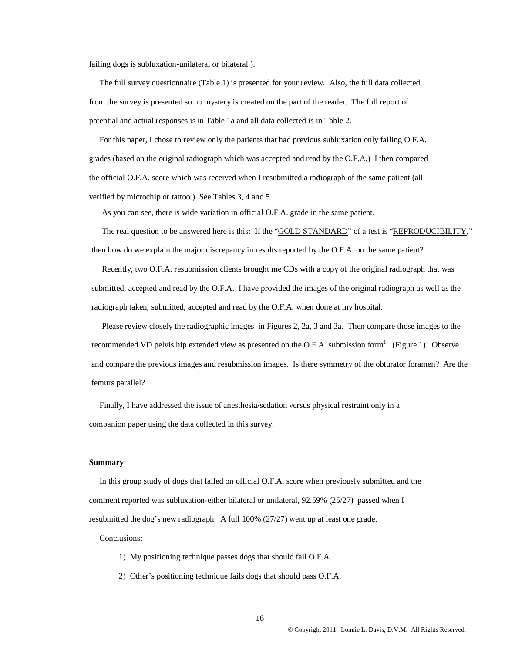failing dogs is subluxation-unilateral or bilateral.).

 The full survey questionnaire (Table 1) is presented for your review. Also, the full data collected from the survey is presented so no mystery is created on the part of the reader. The full report of potential and actual responses is in Table 1a and all data collected is in Table 2.

 For this paper, I chose to review only the patients that had previous subluxation only failing O.F.A. grades (based on the original radiograph which was accepted and read by the O.F.A.) I then compared the official O.F.A. score which was received when I resubmitted a radiograph of the same patient (all verified by microchip or tattoo.) See Tables 3, 4 and 5.

As you can see, there is wide variation in official O.F.A. grade in the same patient.

The real question to be answered here is this: If the "GOLD STANDARD" of a test is "REPRODUCIBILITY," then how do we explain the major discrepancy in results reported by the O.F.A. on the same patient?

 Recently, two O.F.A. resubmission clients brought me CDs with a copy of the original radiograph that was submitted, accepted and read by the O.F.A. I have provided the images of the original radiograph as well as the radiograph taken, submitted, accepted and read by the O.F.A. when done at my hospital.

 Please review closely the radiographic images in Figures 2, 2a, 3 and 3a. Then compare those images to the recommended VD pelvis hip extended view as presented on the O.F.A. submission form<sup>1</sup>. (Figure 1). Observe and compare the previous images and resubmission images. Is there symmetry of the obturator foramen? Are the femurs parallel?

 Finally, I have addressed the issue of anesthesia/sedation versus physical restraint only in a companion paper using the data collected in this survey.

#### **Summary**

 In this group study of dogs that failed on official O.F.A. score when previously submitted and the comment reported was subluxation-either bilateral or unilateral, 92.59% (25/27) passed when I resubmitted the dog's new radiograph. A full 100% (27/27) went up at least one grade.

Conclusions:

- 1) My positioning technique passes dogs that should fail O.F.A.
- 2) Other's positioning technique fails dogs that should pass O.F.A.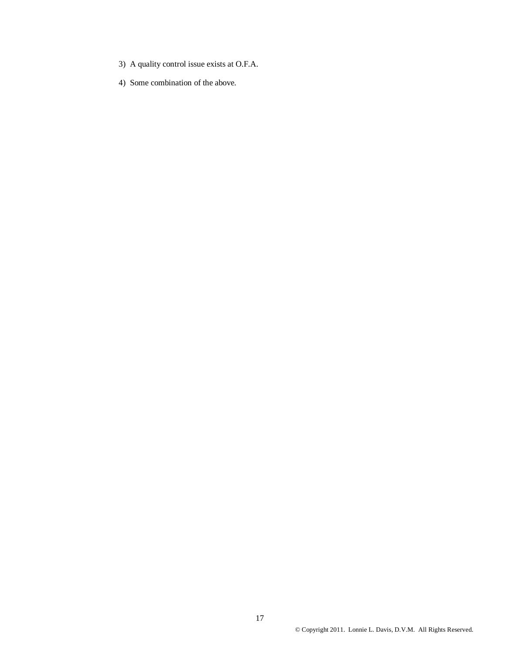- 3) A quality control issue exists at O.F.A.
- 4) Some combination of the above.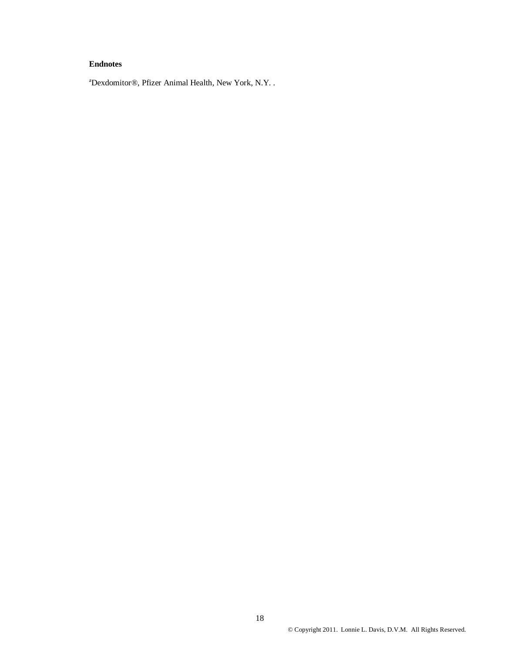### **Endnotes**

<sup>a</sup>Dexdomitor®, Pfizer Animal Health, New York, N.Y. .